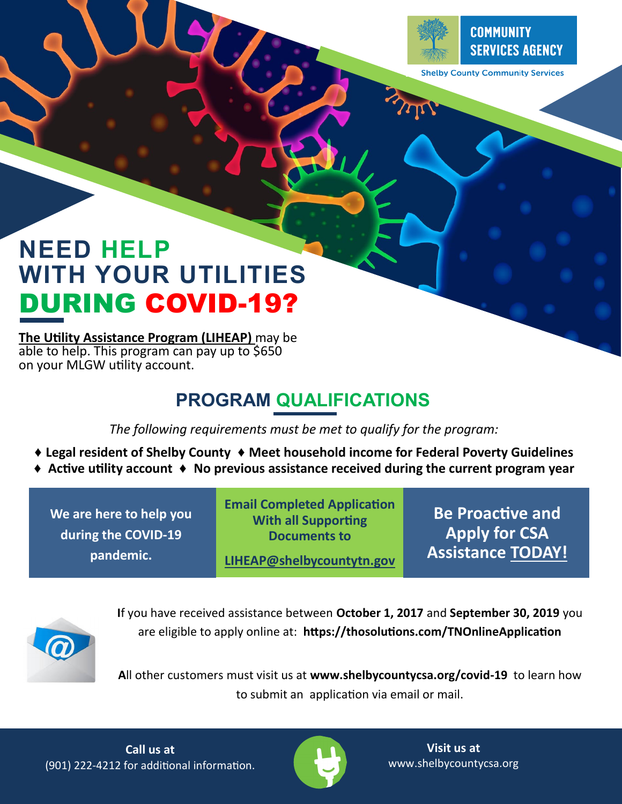

**The** 

#### **COMMUNITY SERVICES AGENCY**

**Shelby County Community Services** 

# **NEED HELP WITH YOUR UTILITIES**  DURING COVID-19?

**The Utility Assistance Program (LIHEAP)** may be able to help. This program can pay up to \$650 on your MLGW utility account.

## **PROGRAM QUALIFICATIONS**

*The following requirements must be met to qualify for the program:*

- **♦ Legal resident of Shelby County ♦ Meet household income for Federal Poverty Guidelines**
- **♦ Active utility account ♦ No previous assistance received during the current program year**

**We are here to help you during the COVID-19 pandemic.**

**Email Completed Application With all Supporting Documents to** 

**LIHEAP@shelbycountytn.gov**

**Be Proactive and Apply for CSA Assistance TODAY!**



**I**f you have received assistance between **October 1, 2017** and **September 30, 2019** you are eligible to apply online at: **https://thosolutions.com/TNOnlineApplication**

**A**ll other customers must visit us at **www.shelbycountycsa.org/covid-19** to learn how to submit an application via email or mail.